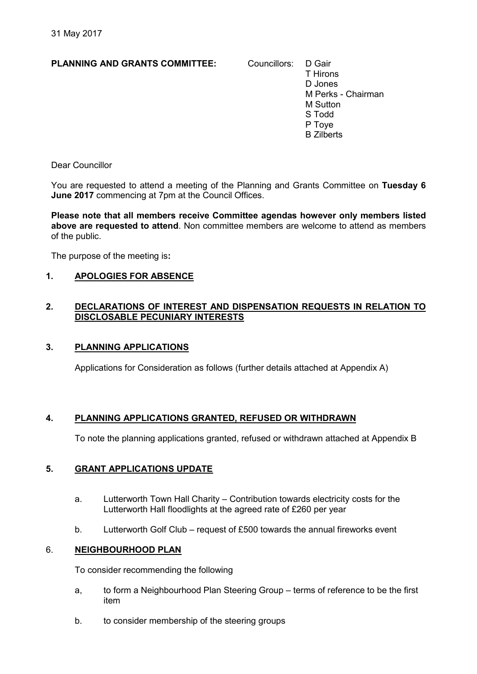# PLANNING AND GRANTS COMMITTEE: Councillors: D Gair

T Hirons D Jones M Perks - Chairman M Sutton S Todd P Toye B Zilberts

Dear Councillor

You are requested to attend a meeting of the Planning and Grants Committee on Tuesday 6 June 2017 commencing at 7pm at the Council Offices.

Please note that all members receive Committee agendas however only members listed above are requested to attend. Non committee members are welcome to attend as members of the public.

The purpose of the meeting is:

# 1. APOLOGIES FOR ABSENCE

# 2. DECLARATIONS OF INTEREST AND DISPENSATION REQUESTS IN RELATION TO DISCLOSABLE PECUNIARY INTERESTS

# 3. PLANNING APPLICATIONS

Applications for Consideration as follows (further details attached at Appendix A)

# 4. PLANNING APPLICATIONS GRANTED, REFUSED OR WITHDRAWN

To note the planning applications granted, refused or withdrawn attached at Appendix B

# 5. GRANT APPLICATIONS UPDATE

- a. Lutterworth Town Hall Charity Contribution towards electricity costs for the Lutterworth Hall floodlights at the agreed rate of £260 per year
- b. Lutterworth Golf Club request of £500 towards the annual fireworks event

# 6. NEIGHBOURHOOD PLAN

To consider recommending the following

- a, to form a Neighbourhood Plan Steering Group terms of reference to be the first item
- b. to consider membership of the steering groups